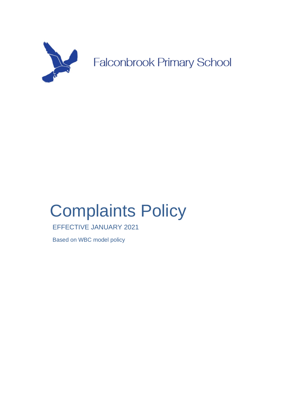

# Complaints Policy

EFFECTIVE JANUARY 2021

Based on WBC model policy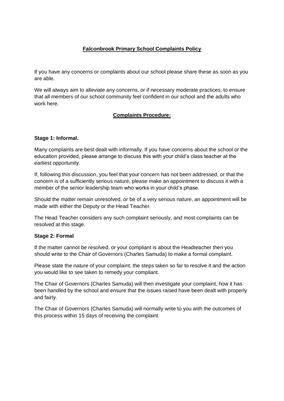#### **Falconbrook Primary School Complaints Policy**

If you have any concerns or complaints about our school please share these as soon as you are able.

We will always aim to alleviate any concerns, or if necessary moderate practices, to ensure that all members of our school community feel confident in our school and the adults who work here.

#### **Complaints Procedure:**

#### **Stage 1: Informal.**

Many complaints are best dealt with informally. If you have concerns about the school or the education provided, please arrange to discuss this with your child's class teacher at the earliest opportunity.

If, following this discussion, you feel that your concern has not been addressed, or that the concern is of a sufficiently serious nature, please make an appointment to discuss it with a member of the senior leadership team who works in your child's phase.

Should the matter remain unresolved, or be of a very serious nature, an appointment will be made with either the Deputy or the Head Teacher*.*

The Head Teacher considers any such complaint seriously, and most complaints can be resolved at this stage.

#### **Stage 2: Formal**

If the matter cannot be resolved, or your compliant is about the Headteacher then you should write to the Chair of Governors (Charles Samuda) to make a formal complaint.

Please state the nature of your complaint, the steps taken so far to resolve it and the action you would like to see taken to remedy your compliant.

The Chair of Governors (Charles Samuda) will then investigate your complaint, how it has been handled by the school and ensure that the issues raised have been dealt with properly and fairly.

The Chair of Governors (Charles Samuda) will normally write to you with the outcomes of this process within 15 days of receiving the complaint.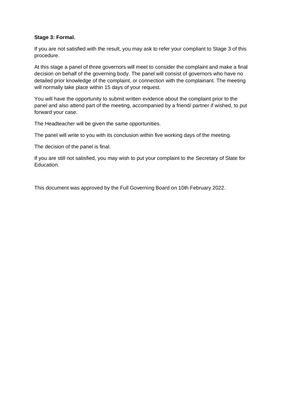#### **Stage 3: Formal.**

If you are not satisfied with the result, you may ask to refer your compliant to Stage 3 of this procedure.

At this stage a panel of three governors will meet to consider the complaint and make a final decision on behalf of the governing body. The panel will consist of governors who have no detailed prior knowledge of the complaint, or connection with the complainant. The meeting will normally take place within 15 days of your request.

You will have the opportunity to submit written evidence about the complaint prior to the panel and also attend part of the meeting, accompanied by a friend/ partner if wished, to put forward your case.

The Headteacher will be given the same opportunities.

The panel will write to you with its conclusion within five working days of the meeting.

The decision of the panel is final.

If you are still not satisfied, you may wish to put your complaint to the Secretary of State for Education.

This document was approved by the Full Governing Board on 10th February 2022.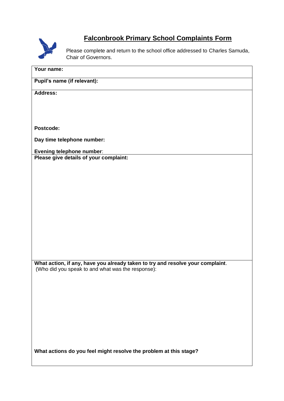

### **Falconbrook Primary School Complaints Form**

Please complete and return to the school office addressed to Charles Samuda, Chair of Governors.

| Your name:                                                                                                                          |
|-------------------------------------------------------------------------------------------------------------------------------------|
| Pupil's name (if relevant):                                                                                                         |
| <b>Address:</b>                                                                                                                     |
|                                                                                                                                     |
|                                                                                                                                     |
| Postcode:                                                                                                                           |
| Day time telephone number:                                                                                                          |
| <b>Evening telephone number:</b>                                                                                                    |
| Please give details of your complaint:                                                                                              |
|                                                                                                                                     |
|                                                                                                                                     |
|                                                                                                                                     |
|                                                                                                                                     |
|                                                                                                                                     |
|                                                                                                                                     |
|                                                                                                                                     |
|                                                                                                                                     |
| What action, if any, have you already taken to try and resolve your complaint.<br>(Who did you speak to and what was the response): |
|                                                                                                                                     |
|                                                                                                                                     |
|                                                                                                                                     |
|                                                                                                                                     |
|                                                                                                                                     |
|                                                                                                                                     |
|                                                                                                                                     |
| What actions do you feel might resolve the problem at this stage?                                                                   |
|                                                                                                                                     |